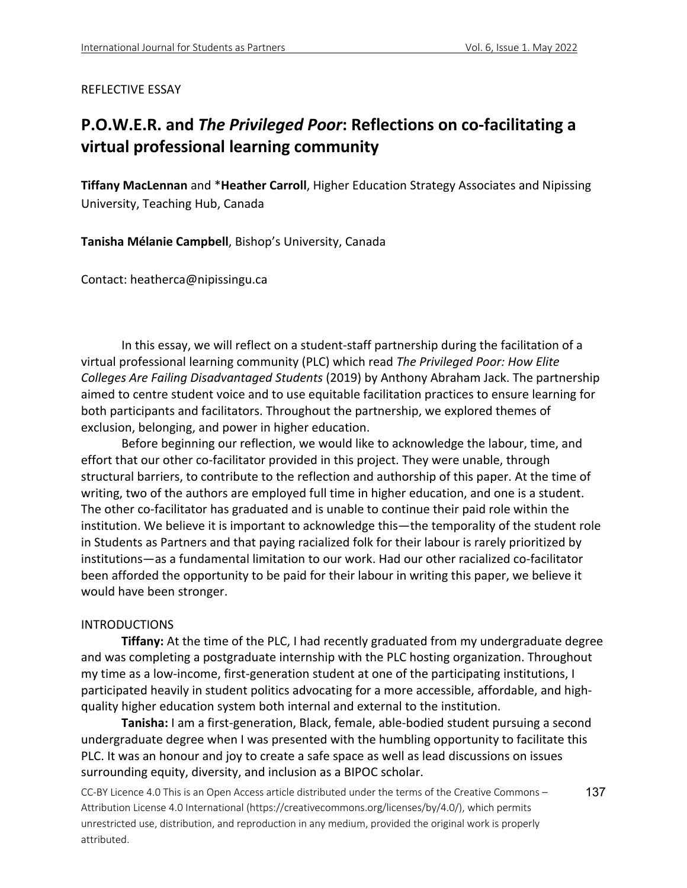### REFLECTIVE ESSAY

# **P.O.W.E.R. and** *The Privileged Poor***: Reflections on co-facilitating a virtual professional learning community**

**Tiffany MacLennan** and \***Heather Carroll**, Higher Education Strategy Associates and Nipissing University, Teaching Hub, Canada

**Tanisha Mélanie Campbell**, Bishop's University, Canada

Contact: heatherca@nipissingu.ca

In this essay, we will reflect on a student-staff partnership during the facilitation of a virtual professional learning community (PLC) which read *The Privileged Poor: How Elite Colleges Are Failing Disadvantaged Students* (2019) by Anthony Abraham Jack. The partnership aimed to centre student voice and to use equitable facilitation practices to ensure learning for both participants and facilitators. Throughout the partnership, we explored themes of exclusion, belonging, and power in higher education.

Before beginning our reflection, we would like to acknowledge the labour, time, and effort that our other co-facilitator provided in this project. They were unable, through structural barriers, to contribute to the reflection and authorship of this paper. At the time of writing, two of the authors are employed full time in higher education, and one is a student. The other co-facilitator has graduated and is unable to continue their paid role within the institution. We believe it is important to acknowledge this—the temporality of the student role in Students as Partners and that paying racialized folk for their labour is rarely prioritized by institutions—as a fundamental limitation to our work. Had our other racialized co-facilitator been afforded the opportunity to be paid for their labour in writing this paper, we believe it would have been stronger.

## INTRODUCTIONS

**Tiffany:** At the time of the PLC, I had recently graduated from my undergraduate degree and was completing a postgraduate internship with the PLC hosting organization. Throughout my time as a low-income, first-generation student at one of the participating institutions, I participated heavily in student politics advocating for a more accessible, affordable, and highquality higher education system both internal and external to the institution.

**Tanisha:** I am a first-generation, Black, female, able-bodied student pursuing a second undergraduate degree when I was presented with the humbling opportunity to facilitate this PLC. It was an honour and joy to create a safe space as well as lead discussions on issues surrounding equity, diversity, and inclusion as a BIPOC scholar.

CC-BY Licence 4.0 This is an Open Access article distributed under the terms of the Creative Commons – Attribution License 4.0 International (https://creativecommons.org/licenses/by/4.0/), which permits unrestricted use, distribution, and reproduction in any medium, provided the original work is properly attributed. 137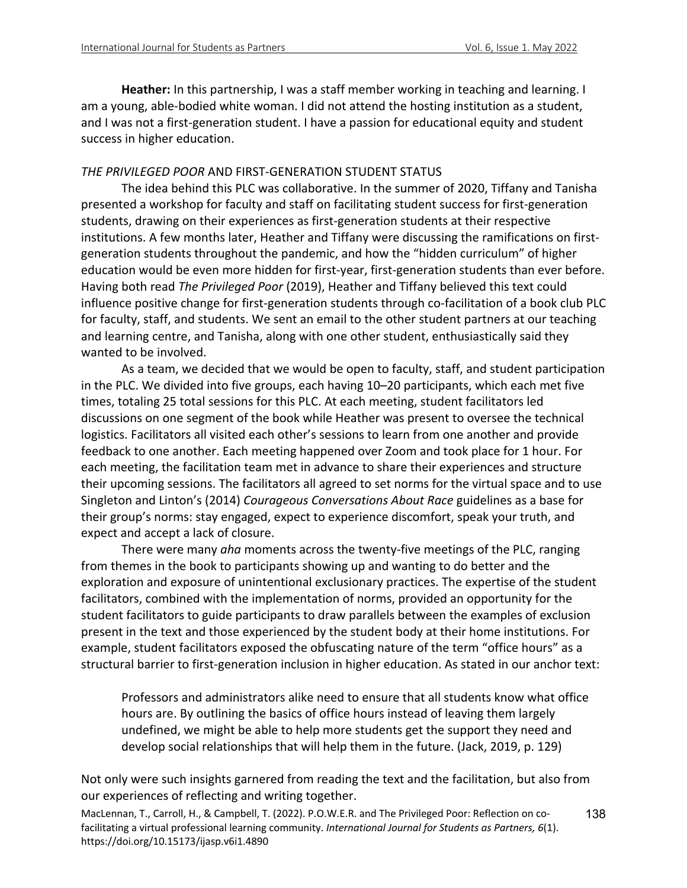**Heather:** In this partnership, I was a staff member working in teaching and learning. I am a young, able-bodied white woman. I did not attend the hosting institution as a student, and I was not a first-generation student. I have a passion for educational equity and student success in higher education.

### *THE PRIVILEGED POOR* AND FIRST-GENERATION STUDENT STATUS

The idea behind this PLC was collaborative. In the summer of 2020, Tiffany and Tanisha presented a workshop for faculty and staff on facilitating student success for first-generation students, drawing on their experiences as first-generation students at their respective institutions. A few months later, Heather and Tiffany were discussing the ramifications on firstgeneration students throughout the pandemic, and how the "hidden curriculum" of higher education would be even more hidden for first-year, first-generation students than ever before. Having both read *The Privileged Poor* (2019), Heather and Tiffany believed this text could influence positive change for first-generation students through co-facilitation of a book club PLC for faculty, staff, and students. We sent an email to the other student partners at our teaching and learning centre, and Tanisha, along with one other student, enthusiastically said they wanted to be involved.

As a team, we decided that we would be open to faculty, staff, and student participation in the PLC. We divided into five groups, each having 10–20 participants, which each met five times, totaling 25 total sessions for this PLC. At each meeting, student facilitators led discussions on one segment of the book while Heather was present to oversee the technical logistics. Facilitators all visited each other's sessions to learn from one another and provide feedback to one another. Each meeting happened over Zoom and took place for 1 hour. For each meeting, the facilitation team met in advance to share their experiences and structure their upcoming sessions. The facilitators all agreed to set norms for the virtual space and to use Singleton and Linton's (2014) *Courageous Conversations About Race* guidelines as a base for their group's norms: stay engaged, expect to experience discomfort, speak your truth, and expect and accept a lack of closure.

There were many *aha* moments across the twenty-five meetings of the PLC, ranging from themes in the book to participants showing up and wanting to do better and the exploration and exposure of unintentional exclusionary practices. The expertise of the student facilitators, combined with the implementation of norms, provided an opportunity for the student facilitators to guide participants to draw parallels between the examples of exclusion present in the text and those experienced by the student body at their home institutions. For example, student facilitators exposed the obfuscating nature of the term "office hours" as a structural barrier to first-generation inclusion in higher education. As stated in our anchor text:

Professors and administrators alike need to ensure that all students know what office hours are. By outlining the basics of office hours instead of leaving them largely undefined, we might be able to help more students get the support they need and develop social relationships that will help them in the future. (Jack, 2019, p. 129)

Not only were such insights garnered from reading the text and the facilitation, but also from our experiences of reflecting and writing together.

MacLennan, T., Carroll, H., & Campbell, T. (2022). P.O.W.E.R. and The Privileged Poor: Reflection on cofacilitating a virtual professional learning community. *International Journal for Students as Partners, 6*(1). https://doi.org/10.15173/ijasp.v6i1.4890

138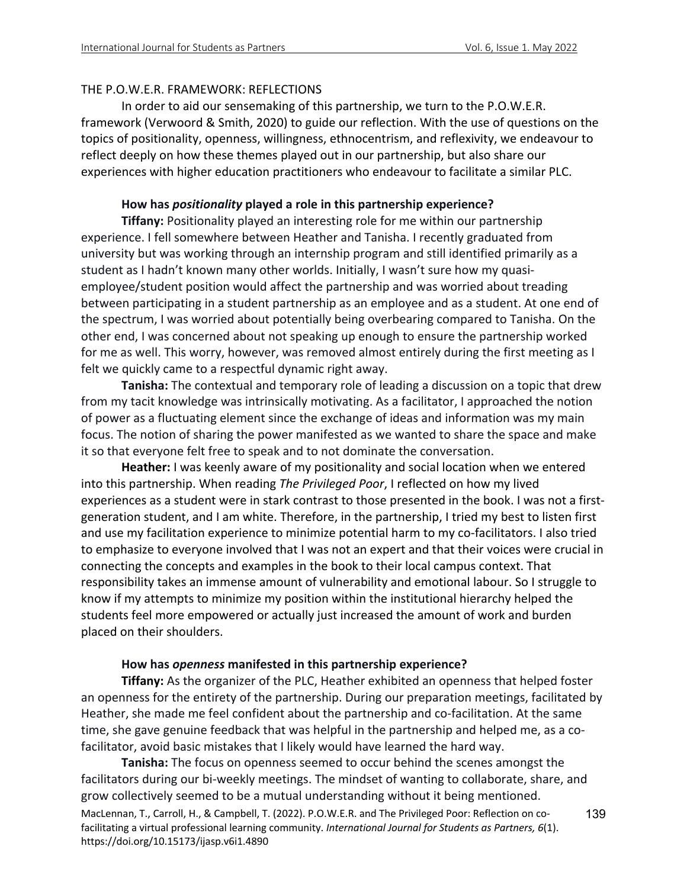### THE P.O.W.E.R. FRAMEWORK: REFLECTIONS

In order to aid our sensemaking of this partnership, we turn to the P.O.W.E.R. framework (Verwoord & Smith, 2020) to guide our reflection. With the use of questions on the topics of positionality, openness, willingness, ethnocentrism, and reflexivity, we endeavour to reflect deeply on how these themes played out in our partnership, but also share our experiences with higher education practitioners who endeavour to facilitate a similar PLC.

### **How has** *positionality* **played a role in this partnership experience?**

**Tiffany:** Positionality played an interesting role for me within our partnership experience. I fell somewhere between Heather and Tanisha. I recently graduated from university but was working through an internship program and still identified primarily as a student as I hadn't known many other worlds. Initially, I wasn't sure how my quasiemployee/student position would affect the partnership and was worried about treading between participating in a student partnership as an employee and as a student. At one end of the spectrum, I was worried about potentially being overbearing compared to Tanisha. On the other end, I was concerned about not speaking up enough to ensure the partnership worked for me as well. This worry, however, was removed almost entirely during the first meeting as I felt we quickly came to a respectful dynamic right away.

**Tanisha:** The contextual and temporary role of leading a discussion on a topic that drew from my tacit knowledge was intrinsically motivating. As a facilitator, I approached the notion of power as a fluctuating element since the exchange of ideas and information was my main focus. The notion of sharing the power manifested as we wanted to share the space and make it so that everyone felt free to speak and to not dominate the conversation.

**Heather:** I was keenly aware of my positionality and social location when we entered into this partnership. When reading *The Privileged Poor*, I reflected on how my lived experiences as a student were in stark contrast to those presented in the book. I was not a firstgeneration student, and I am white. Therefore, in the partnership, I tried my best to listen first and use my facilitation experience to minimize potential harm to my co-facilitators. I also tried to emphasize to everyone involved that I was not an expert and that their voices were crucial in connecting the concepts and examples in the book to their local campus context. That responsibility takes an immense amount of vulnerability and emotional labour. So I struggle to know if my attempts to minimize my position within the institutional hierarchy helped the students feel more empowered or actually just increased the amount of work and burden placed on their shoulders.

#### **How has** *openness* **manifested in this partnership experience?**

**Tiffany:** As the organizer of the PLC, Heather exhibited an openness that helped foster an openness for the entirety of the partnership. During our preparation meetings, facilitated by Heather, she made me feel confident about the partnership and co-facilitation. At the same time, she gave genuine feedback that was helpful in the partnership and helped me, as a cofacilitator, avoid basic mistakes that I likely would have learned the hard way.

MacLennan, T., Carroll, H., & Campbell, T. (2022). P.O.W.E.R. and The Privileged Poor: Reflection on cofacilitating a virtual professional learning community. *International Journal for Students as Partners, 6*(1). https://doi.org/10.15173/ijasp.v6i1.4890 **Tanisha:** The focus on openness seemed to occur behind the scenes amongst the facilitators during our bi-weekly meetings. The mindset of wanting to collaborate, share, and grow collectively seemed to be a mutual understanding without it being mentioned.

139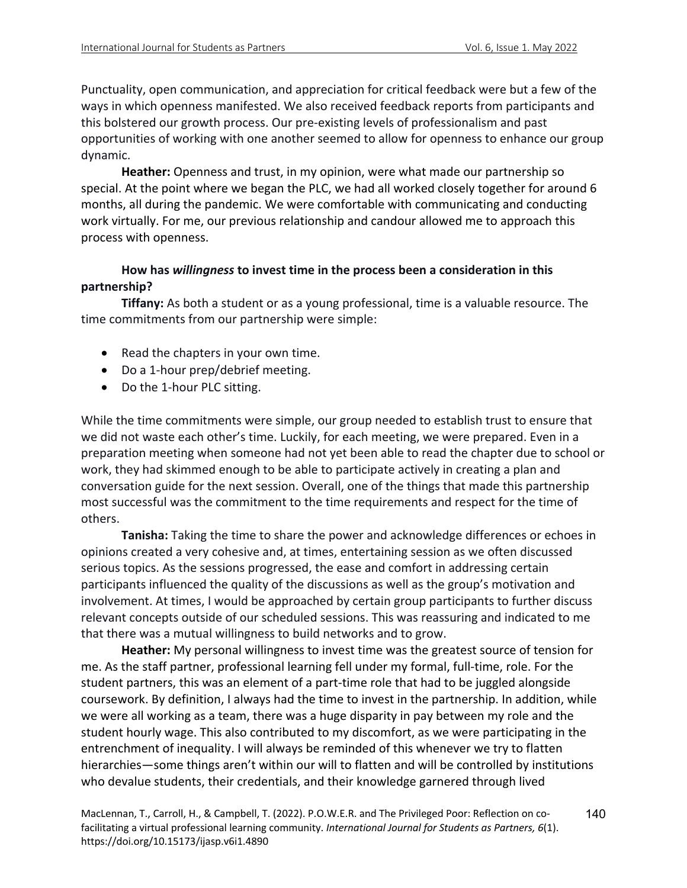Punctuality, open communication, and appreciation for critical feedback were but a few of the ways in which openness manifested. We also received feedback reports from participants and this bolstered our growth process. Our pre-existing levels of professionalism and past opportunities of working with one another seemed to allow for openness to enhance our group dynamic.

**Heather:** Openness and trust, in my opinion, were what made our partnership so special. At the point where we began the PLC, we had all worked closely together for around 6 months, all during the pandemic. We were comfortable with communicating and conducting work virtually. For me, our previous relationship and candour allowed me to approach this process with openness.

# **How has** *willingness* **to invest time in the process been a consideration in this partnership?**

**Tiffany:** As both a student or as a young professional, time is a valuable resource. The time commitments from our partnership were simple:

- Read the chapters in your own time.
- Do a 1-hour prep/debrief meeting.
- Do the 1-hour PLC sitting.

While the time commitments were simple, our group needed to establish trust to ensure that we did not waste each other's time. Luckily, for each meeting, we were prepared. Even in a preparation meeting when someone had not yet been able to read the chapter due to school or work, they had skimmed enough to be able to participate actively in creating a plan and conversation guide for the next session. Overall, one of the things that made this partnership most successful was the commitment to the time requirements and respect for the time of others.

**Tanisha:** Taking the time to share the power and acknowledge differences or echoes in opinions created a very cohesive and, at times, entertaining session as we often discussed serious topics. As the sessions progressed, the ease and comfort in addressing certain participants influenced the quality of the discussions as well as the group's motivation and involvement. At times, I would be approached by certain group participants to further discuss relevant concepts outside of our scheduled sessions. This was reassuring and indicated to me that there was a mutual willingness to build networks and to grow.

**Heather:** My personal willingness to invest time was the greatest source of tension for me. As the staff partner, professional learning fell under my formal, full-time, role. For the student partners, this was an element of a part-time role that had to be juggled alongside coursework. By definition, I always had the time to invest in the partnership. In addition, while we were all working as a team, there was a huge disparity in pay between my role and the student hourly wage. This also contributed to my discomfort, as we were participating in the entrenchment of inequality. I will always be reminded of this whenever we try to flatten hierarchies—some things aren't within our will to flatten and will be controlled by institutions who devalue students, their credentials, and their knowledge garnered through lived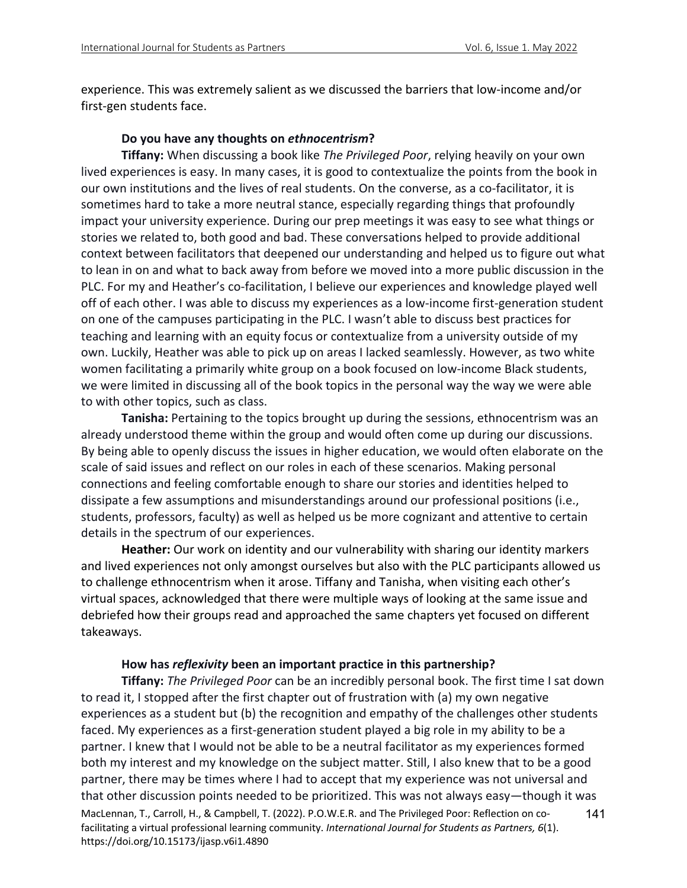experience. This was extremely salient as we discussed the barriers that low-income and/or first-gen students face.

### **Do you have any thoughts on** *ethnocentrism***?**

**Tiffany:** When discussing a book like *The Privileged Poor*, relying heavily on your own lived experiences is easy. In many cases, it is good to contextualize the points from the book in our own institutions and the lives of real students. On the converse, as a co-facilitator, it is sometimes hard to take a more neutral stance, especially regarding things that profoundly impact your university experience. During our prep meetings it was easy to see what things or stories we related to, both good and bad. These conversations helped to provide additional context between facilitators that deepened our understanding and helped us to figure out what to lean in on and what to back away from before we moved into a more public discussion in the PLC. For my and Heather's co-facilitation, I believe our experiences and knowledge played well off of each other. I was able to discuss my experiences as a low-income first-generation student on one of the campuses participating in the PLC. I wasn't able to discuss best practices for teaching and learning with an equity focus or contextualize from a university outside of my own. Luckily, Heather was able to pick up on areas I lacked seamlessly. However, as two white women facilitating a primarily white group on a book focused on low-income Black students, we were limited in discussing all of the book topics in the personal way the way we were able to with other topics, such as class.

**Tanisha:** Pertaining to the topics brought up during the sessions, ethnocentrism was an already understood theme within the group and would often come up during our discussions. By being able to openly discuss the issues in higher education, we would often elaborate on the scale of said issues and reflect on our roles in each of these scenarios. Making personal connections and feeling comfortable enough to share our stories and identities helped to dissipate a few assumptions and misunderstandings around our professional positions (i.e., students, professors, faculty) as well as helped us be more cognizant and attentive to certain details in the spectrum of our experiences.

**Heather:** Our work on identity and our vulnerability with sharing our identity markers and lived experiences not only amongst ourselves but also with the PLC participants allowed us to challenge ethnocentrism when it arose. Tiffany and Tanisha, when visiting each other's virtual spaces, acknowledged that there were multiple ways of looking at the same issue and debriefed how their groups read and approached the same chapters yet focused on different takeaways.

### **How has** *reflexivity* **been an important practice in this partnership?**

MacLennan, T., Carroll, H., & Campbell, T. (2022). P.O.W.E.R. and The Privileged Poor: Reflection on cofacilitating a virtual professional learning community. *International Journal for Students as Partners, 6*(1). https://doi.org/10.15173/ijasp.v6i1.4890 141 **Tiffany:** *The Privileged Poor* can be an incredibly personal book. The first time I sat down to read it, I stopped after the first chapter out of frustration with (a) my own negative experiences as a student but (b) the recognition and empathy of the challenges other students faced. My experiences as a first-generation student played a big role in my ability to be a partner. I knew that I would not be able to be a neutral facilitator as my experiences formed both my interest and my knowledge on the subject matter. Still, I also knew that to be a good partner, there may be times where I had to accept that my experience was not universal and that other discussion points needed to be prioritized. This was not always easy—though it was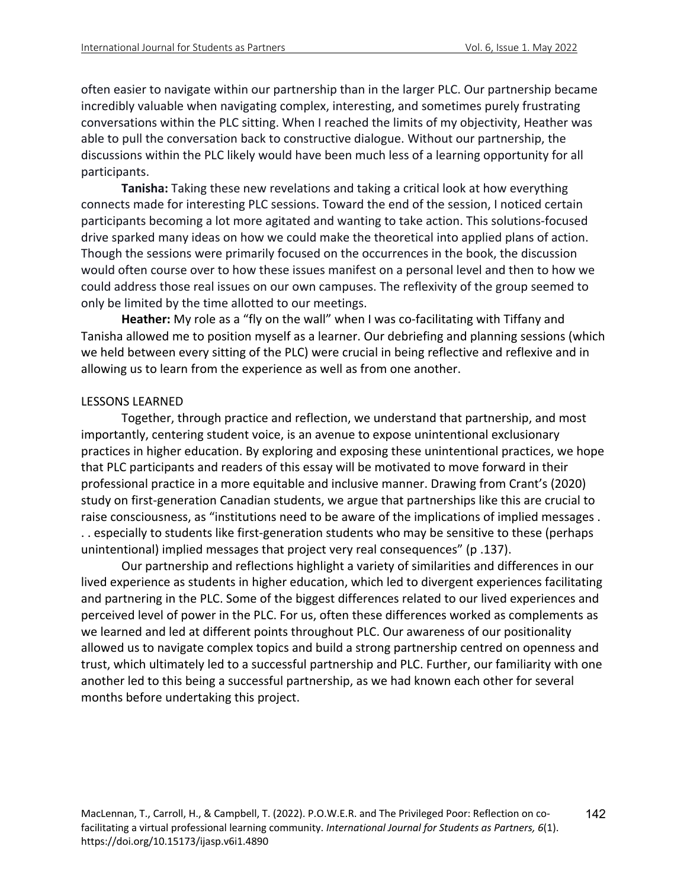142

often easier to navigate within our partnership than in the larger PLC. Our partnership became incredibly valuable when navigating complex, interesting, and sometimes purely frustrating conversations within the PLC sitting. When I reached the limits of my objectivity, Heather was able to pull the conversation back to constructive dialogue. Without our partnership, the discussions within the PLC likely would have been much less of a learning opportunity for all participants.

**Tanisha:** Taking these new revelations and taking a critical look at how everything connects made for interesting PLC sessions. Toward the end of the session, I noticed certain participants becoming a lot more agitated and wanting to take action. This solutions-focused drive sparked many ideas on how we could make the theoretical into applied plans of action. Though the sessions were primarily focused on the occurrences in the book, the discussion would often course over to how these issues manifest on a personal level and then to how we could address those real issues on our own campuses. The reflexivity of the group seemed to only be limited by the time allotted to our meetings.

**Heather:** My role as a "fly on the wall" when I was co-facilitating with Tiffany and Tanisha allowed me to position myself as a learner. Our debriefing and planning sessions (which we held between every sitting of the PLC) were crucial in being reflective and reflexive and in allowing us to learn from the experience as well as from one another.

### LESSONS LEARNED

Together, through practice and reflection, we understand that partnership, and most importantly, centering student voice, is an avenue to expose unintentional exclusionary practices in higher education. By exploring and exposing these unintentional practices, we hope that PLC participants and readers of this essay will be motivated to move forward in their professional practice in a more equitable and inclusive manner. Drawing from Crant's (2020) study on first-generation Canadian students, we argue that partnerships like this are crucial to raise consciousness, as "institutions need to be aware of the implications of implied messages . . . especially to students like first-generation students who may be sensitive to these (perhaps unintentional) implied messages that project very real consequences" (p .137).

Our partnership and reflections highlight a variety of similarities and differences in our lived experience as students in higher education, which led to divergent experiences facilitating and partnering in the PLC. Some of the biggest differences related to our lived experiences and perceived level of power in the PLC. For us, often these differences worked as complements as we learned and led at different points throughout PLC. Our awareness of our positionality allowed us to navigate complex topics and build a strong partnership centred on openness and trust, which ultimately led to a successful partnership and PLC. Further, our familiarity with one another led to this being a successful partnership, as we had known each other for several months before undertaking this project.